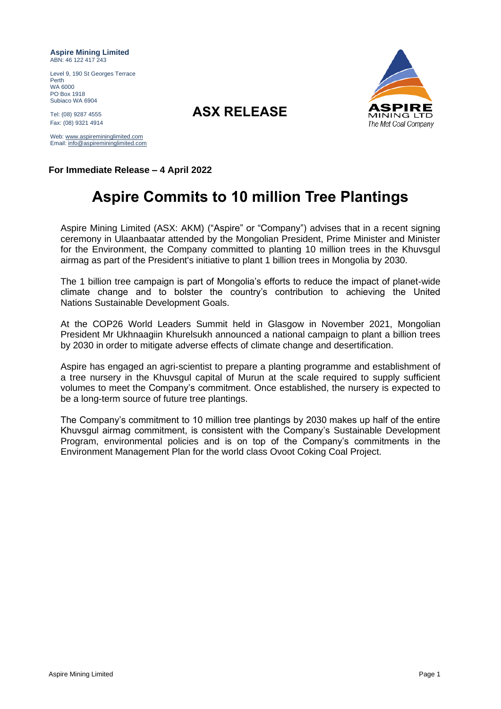**Aspire Mining Limited** ABN: 46 122 417 243

Level 9, 190 St Georges Terrace Perth WA 6000 PO Box 1918 Subiaco WA 6904

Tel: (08) 9287 <sup>4555</sup> **ASX RELEASE** Fax: (08) 9321 4914

Web: [www.aspiremininglimited.com](http://www.aspiremininglimited.com/) Email[: info@aspiremininglimited.com](mailto:info@aspiremininglimited.com)



**For Immediate Release – 4 April 2022**

## **Aspire Commits to 10 million Tree Plantings**

Aspire Mining Limited (ASX: AKM) ("Aspire" or "Company") advises that in a recent signing ceremony in Ulaanbaatar attended by the Mongolian President, Prime Minister and Minister for the Environment, the Company committed to planting 10 million trees in the Khuvsgul airmag as part of the President's initiative to plant 1 billion trees in Mongolia by 2030.

The 1 billion tree campaign is part of Mongolia's efforts to reduce the impact of planet-wide climate change and to bolster the country's contribution to achieving the United Nations Sustainable Development Goals.

At the COP26 World Leaders Summit held in Glasgow in November 2021, Mongolian President Mr Ukhnaagiin Khurelsukh announced a national campaign to plant a billion trees by 2030 in order to mitigate adverse effects of climate change and desertification.

Aspire has engaged an agri-scientist to prepare a planting programme and establishment of a tree nursery in the Khuvsgul capital of Murun at the scale required to supply sufficient volumes to meet the Company's commitment. Once established, the nursery is expected to be a long-term source of future tree plantings.

The Company's commitment to 10 million tree plantings by 2030 makes up half of the entire Khuvsgul airmag commitment, is consistent with the Company's Sustainable Development Program, environmental policies and is on top of the Company's commitments in the Environment Management Plan for the world class Ovoot Coking Coal Project.